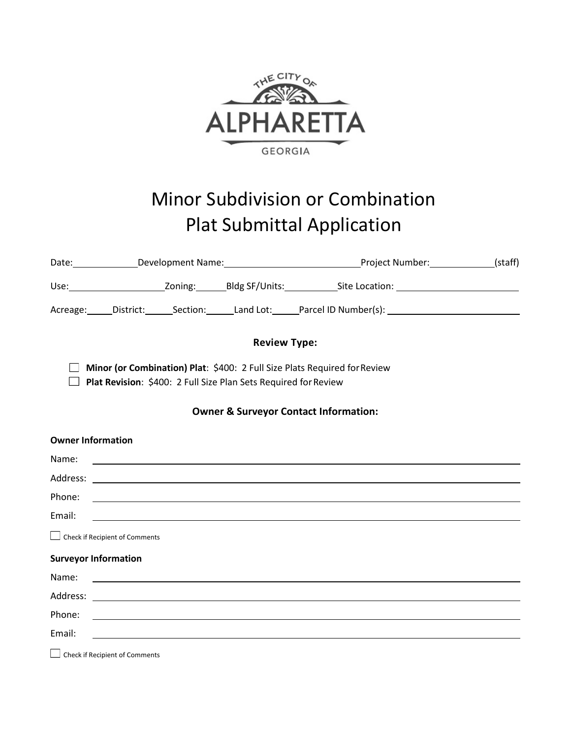

# Minor Subdivision or Combination Plat Submittal Application

| Date: _______________Development Name: ___________________________________Project Number: ______________(staff)                              |                                |  |                                                                                                                      |                                                                                  |  |  |  |
|----------------------------------------------------------------------------------------------------------------------------------------------|--------------------------------|--|----------------------------------------------------------------------------------------------------------------------|----------------------------------------------------------------------------------|--|--|--|
|                                                                                                                                              |                                |  |                                                                                                                      |                                                                                  |  |  |  |
|                                                                                                                                              |                                |  |                                                                                                                      |                                                                                  |  |  |  |
| <b>Review Type:</b>                                                                                                                          |                                |  |                                                                                                                      |                                                                                  |  |  |  |
| Minor (or Combination) Plat: \$400: 2 Full Size Plats Required for Review<br>Plat Revision: \$400: 2 Full Size Plan Sets Required for Review |                                |  |                                                                                                                      |                                                                                  |  |  |  |
| <b>Owner &amp; Surveyor Contact Information:</b>                                                                                             |                                |  |                                                                                                                      |                                                                                  |  |  |  |
|                                                                                                                                              | <b>Owner Information</b>       |  |                                                                                                                      |                                                                                  |  |  |  |
| Name:                                                                                                                                        |                                |  | <u> 1980 - John Stein, marking and de broad and de broad and de broad and de broad and de broad and de broad and</u> |                                                                                  |  |  |  |
|                                                                                                                                              |                                |  |                                                                                                                      |                                                                                  |  |  |  |
| Phone:                                                                                                                                       |                                |  |                                                                                                                      |                                                                                  |  |  |  |
| Email:                                                                                                                                       |                                |  |                                                                                                                      | <u> 1989 - Johann Stoff, amerikansk politiker (d. 1989)</u>                      |  |  |  |
|                                                                                                                                              | Check if Recipient of Comments |  |                                                                                                                      |                                                                                  |  |  |  |
|                                                                                                                                              | <b>Surveyor Information</b>    |  |                                                                                                                      |                                                                                  |  |  |  |
| Name:                                                                                                                                        |                                |  | <u> 1980 - Andrea State Barbara, amerikan personal di sebagai personal di sebagai personal di sebagai personal d</u> |                                                                                  |  |  |  |
|                                                                                                                                              |                                |  |                                                                                                                      |                                                                                  |  |  |  |
| Phone:                                                                                                                                       |                                |  |                                                                                                                      | ,我们也不会有什么。""我们的人,我们也不会有什么?""我们的人,我们也不会有什么?""我们的人,我们也不会有什么?""我们的人,我们也不会有什么?""我们的人 |  |  |  |
| Email:                                                                                                                                       |                                |  |                                                                                                                      |                                                                                  |  |  |  |

Check if Recipient of Comments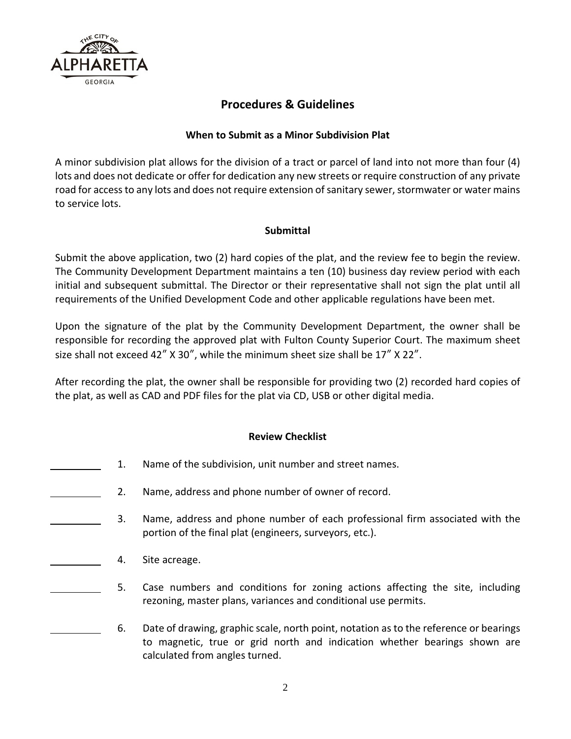

# **Procedures & Guidelines**

#### **When to Submit as a Minor Subdivision Plat**

A minor subdivision plat allows for the division of a tract or parcel of land into not more than four (4) lots and does not dedicate or offer for dedication any new streets or require construction of any private road for access to any lots and does not require extension of sanitary sewer, stormwater or water mains to service lots.

## **Submittal**

Submit the above application, two (2) hard copies of the plat, and the review fee to begin the review. The Community Development Department maintains a ten (10) business day review period with each initial and subsequent submittal. The Director or their representative shall not sign the plat until all requirements of the Unified Development Code and other applicable regulations have been met.

Upon the signature of the plat by the Community Development Department, the owner shall be responsible for recording the approved plat with Fulton County Superior Court. The maximum sheet size shall not exceed 42"  $X$  30", while the minimum sheet size shall be 17"  $X$  22".

After recording the plat, the owner shall be responsible for providing two (2) recorded hard copies of the plat, as well as CAD and PDF files for the plat via CD, USB or other digital media.

## **Review Checklist**

- 1. Name of the subdivision, unit number and street names.
- 2. Name, address and phone number of owner of record.
	- 3. Name, address and phone number of each professional firm associated with the portion of the final plat (engineers, surveyors, etc.).
		- 4. Site acreage.
	- 5. Case numbers and conditions for zoning actions affecting the site, including rezoning, master plans, variances and conditional use permits.
	- 6. Date of drawing, graphic scale, north point, notation as to the reference or bearings to magnetic, true or grid north and indication whether bearings shown are calculated from angles turned.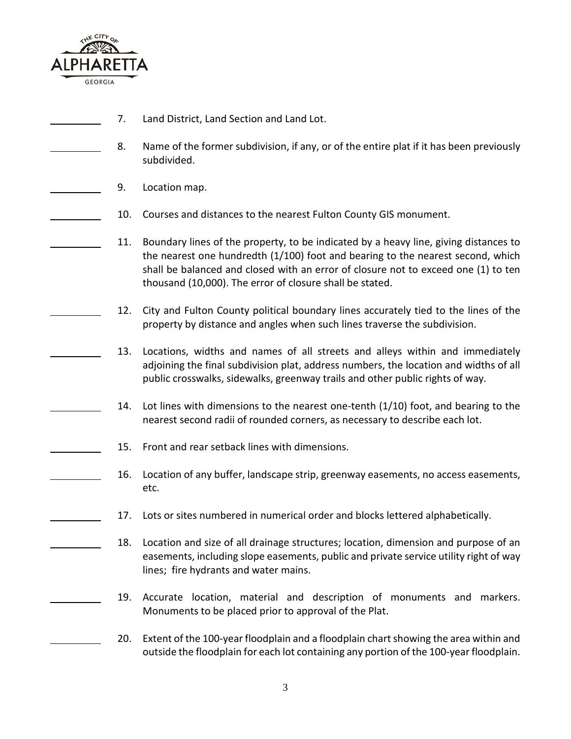

- 7. Land District, Land Section and Land Lot.
- 8. Name of the former subdivision, if any, or of the entire plat if it has been previously subdivided.
	- 9. Location map.
	- 10. Courses and distances to the nearest Fulton County GIS monument.
	- 11. Boundary lines of the property, to be indicated by a heavy line, giving distances to the nearest one hundredth (1/100) foot and bearing to the nearest second, which shall be balanced and closed with an error of closure not to exceed one (1) to ten thousand (10,000). The error of closure shall be stated.
		- 12. City and Fulton County political boundary lines accurately tied to the lines of the property by distance and angles when such lines traverse the subdivision.
	- 13. Locations, widths and names of all streets and alleys within and immediately adjoining the final subdivision plat, address numbers, the location and widths of all public crosswalks, sidewalks, greenway trails and other public rights of way.
		- 14. Lot lines with dimensions to the nearest one-tenth (1/10) foot, and bearing to the nearest second radii of rounded corners, as necessary to describe each lot.
- 15. Front and rear setback lines with dimensions.
	- 16. Location of any buffer, landscape strip, greenway easements, no access easements, etc.
	- 17. Lots or sites numbered in numerical order and blocks lettered alphabetically.
		- 18. Location and size of all drainage structures; location, dimension and purpose of an easements, including slope easements, public and private service utility right of way lines; fire hydrants and water mains.
			- 19. Accurate location, material and description of monuments and markers. Monuments to be placed prior to approval of the Plat.
				- 20. Extent of the 100-year floodplain and a floodplain chart showing the area within and outside the floodplain for each lot containing any portion of the 100-year floodplain.